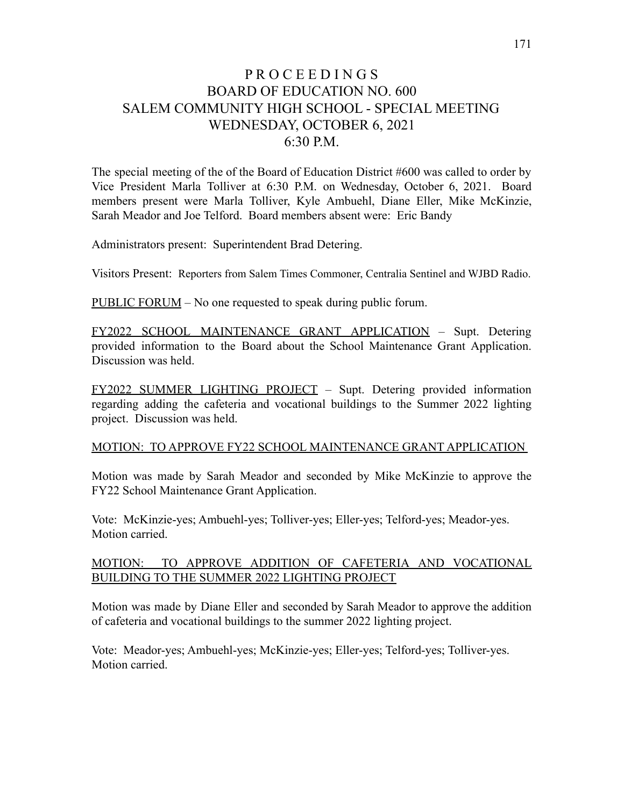## P R O C E E D I N G S BOARD OF EDUCATION NO. 600 SALEM COMMUNITY HIGH SCHOOL - SPECIAL MEETING WEDNESDAY, OCTOBER 6, 2021 6:30 P.M.

The special meeting of the of the Board of Education District #600 was called to order by Vice President Marla Tolliver at 6:30 P.M. on Wednesday, October 6, 2021. Board members present were Marla Tolliver, Kyle Ambuehl, Diane Eller, Mike McKinzie, Sarah Meador and Joe Telford. Board members absent were: Eric Bandy

Administrators present: Superintendent Brad Detering.

Visitors Present: Reporters from Salem Times Commoner, Centralia Sentinel and WJBD Radio.

PUBLIC FORUM – No one requested to speak during public forum.

FY2022 SCHOOL MAINTENANCE GRANT APPLICATION – Supt. Detering provided information to the Board about the School Maintenance Grant Application. Discussion was held.

FY2022 SUMMER LIGHTING PROJECT – Supt. Detering provided information regarding adding the cafeteria and vocational buildings to the Summer 2022 lighting project. Discussion was held.

## MOTION: TO APPROVE FY22 SCHOOL MAINTENANCE GRANT APPLICATION

Motion was made by Sarah Meador and seconded by Mike McKinzie to approve the FY22 School Maintenance Grant Application.

Vote: McKinzie-yes; Ambuehl-yes; Tolliver-yes; Eller-yes; Telford-yes; Meador-yes. Motion carried.

## MOTION: TO APPROVE ADDITION OF CAFETERIA AND VOCATIONAL BUILDING TO THE SUMMER 2022 LIGHTING PROJECT

Motion was made by Diane Eller and seconded by Sarah Meador to approve the addition of cafeteria and vocational buildings to the summer 2022 lighting project.

Vote: Meador-yes; Ambuehl-yes; McKinzie-yes; Eller-yes; Telford-yes; Tolliver-yes. Motion carried.